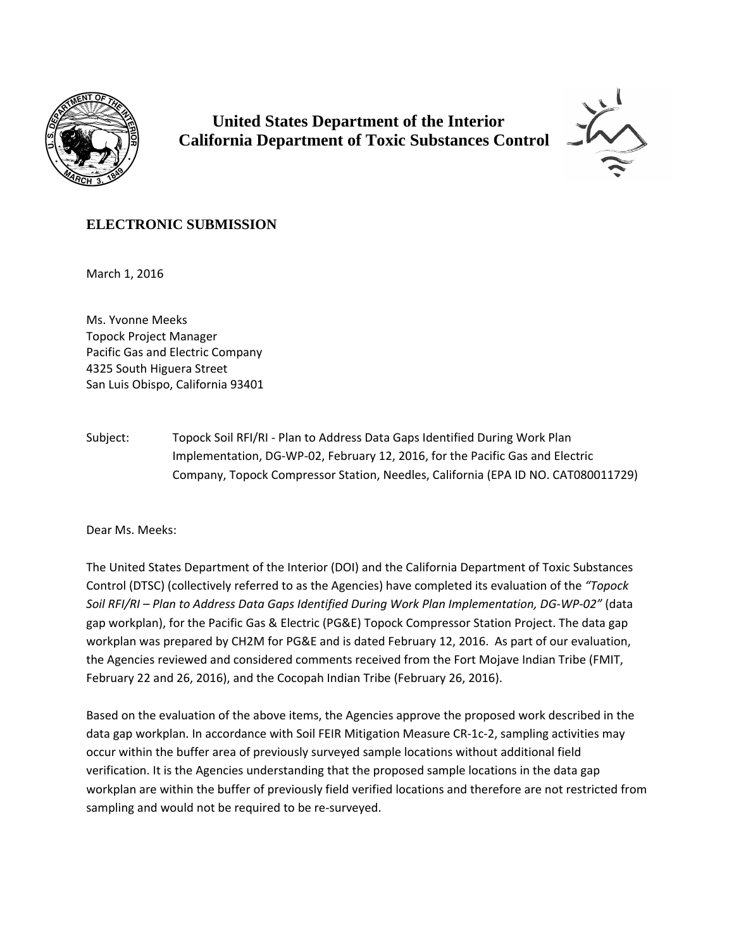

 **United States Department of the Interior California Department of Toxic Substances Control**



## **ELECTRONIC SUBMISSION**

March 1, 2016

Ms. Yvonne Meeks Topock Project Manager Pacific Gas and Electric Company 4325 South Higuera Street San Luis Obispo, California 93401

Subject: Topock Soil RFI/RI ‐ Plan to Address Data Gaps Identified During Work Plan Implementation, DG‐WP‐02, February 12, 2016, for the Pacific Gas and Electric Company, Topock Compressor Station, Needles, California (EPA ID NO. CAT080011729)

Dear Ms. Meeks:

The United States Department of the Interior (DOI) and the California Department of Toxic Substances Control (DTSC) (collectively referred to as the Agencies) have completed its evaluation of the *"Topock* Soil RFI/RI - Plan to Address Data Gaps Identified During Work Plan Implementation, DG-WP-02" (data gap workplan), for the Pacific Gas & Electric (PG&E) Topock Compressor Station Project. The data gap workplan was prepared by CH2M for PG&E and is dated February 12, 2016. As part of our evaluation, the Agencies reviewed and considered comments received from the Fort Mojave Indian Tribe (FMIT, February 22 and 26, 2016), and the Cocopah Indian Tribe (February 26, 2016).

Based on the evaluation of the above items, the Agencies approve the proposed work described in the data gap workplan. In accordance with Soil FEIR Mitigation Measure CR‐1c‐2, sampling activities may occur within the buffer area of previously surveyed sample locations without additional field verification. It is the Agencies understanding that the proposed sample locations in the data gap workplan are within the buffer of previously field verified locations and therefore are not restricted from sampling and would not be required to be re-surveyed.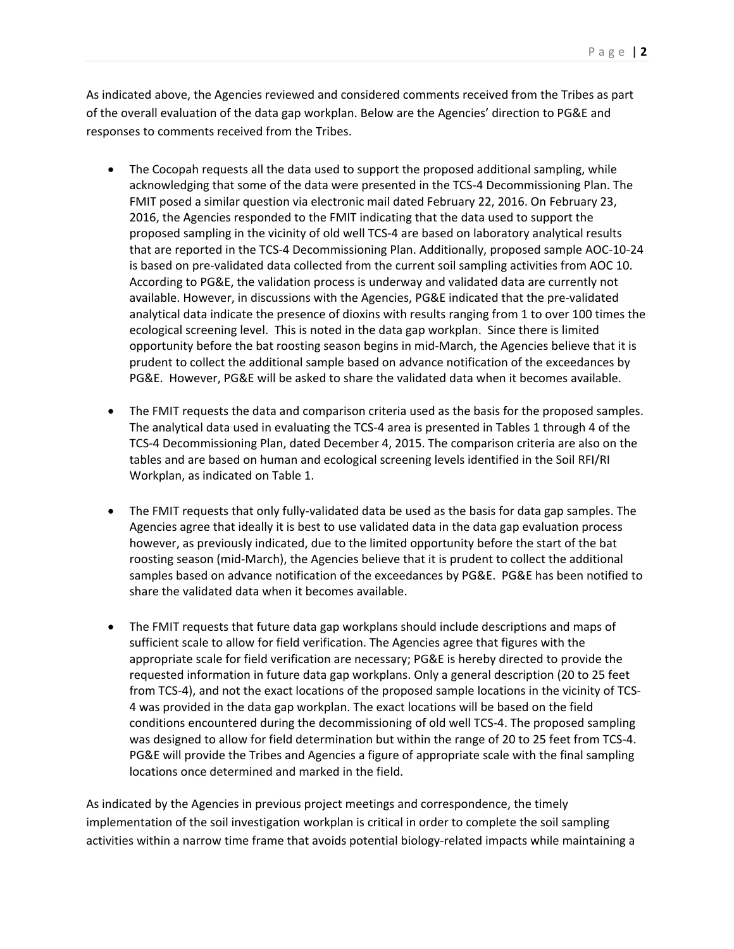As indicated above, the Agencies reviewed and considered comments received from the Tribes as part of the overall evaluation of the data gap workplan. Below are the Agencies' direction to PG&E and responses to comments received from the Tribes.

- The Cocopah requests all the data used to support the proposed additional sampling, while acknowledging that some of the data were presented in the TCS‐4 Decommissioning Plan. The FMIT posed a similar question via electronic mail dated February 22, 2016. On February 23, 2016, the Agencies responded to the FMIT indicating that the data used to support the proposed sampling in the vicinity of old well TCS‐4 are based on laboratory analytical results that are reported in the TCS‐4 Decommissioning Plan. Additionally, proposed sample AOC‐10‐24 is based on pre‐validated data collected from the current soil sampling activities from AOC 10. According to PG&E, the validation process is underway and validated data are currently not available. However, in discussions with the Agencies, PG&E indicated that the pre‐validated analytical data indicate the presence of dioxins with results ranging from 1 to over 100 times the ecological screening level. This is noted in the data gap workplan. Since there is limited opportunity before the bat roosting season begins in mid‐March, the Agencies believe that it is prudent to collect the additional sample based on advance notification of the exceedances by PG&E. However, PG&E will be asked to share the validated data when it becomes available.
- The FMIT requests the data and comparison criteria used as the basis for the proposed samples. The analytical data used in evaluating the TCS-4 area is presented in Tables 1 through 4 of the TCS‐4 Decommissioning Plan, dated December 4, 2015. The comparison criteria are also on the tables and are based on human and ecological screening levels identified in the Soil RFI/RI Workplan, as indicated on Table 1.
- The FMIT requests that only fully‐validated data be used as the basis for data gap samples. The Agencies agree that ideally it is best to use validated data in the data gap evaluation process however, as previously indicated, due to the limited opportunity before the start of the bat roosting season (mid‐March), the Agencies believe that it is prudent to collect the additional samples based on advance notification of the exceedances by PG&E. PG&E has been notified to share the validated data when it becomes available.
- The FMIT requests that future data gap workplans should include descriptions and maps of sufficient scale to allow for field verification. The Agencies agree that figures with the appropriate scale for field verification are necessary; PG&E is hereby directed to provide the requested information in future data gap workplans. Only a general description (20 to 25 feet from TCS‐4), and not the exact locations of the proposed sample locations in the vicinity of TCS‐ 4 was provided in the data gap workplan. The exact locations will be based on the field conditions encountered during the decommissioning of old well TCS‐4. The proposed sampling was designed to allow for field determination but within the range of 20 to 25 feet from TCS‐4. PG&E will provide the Tribes and Agencies a figure of appropriate scale with the final sampling locations once determined and marked in the field.

As indicated by the Agencies in previous project meetings and correspondence, the timely implementation of the soil investigation workplan is critical in order to complete the soil sampling activities within a narrow time frame that avoids potential biology-related impacts while maintaining a